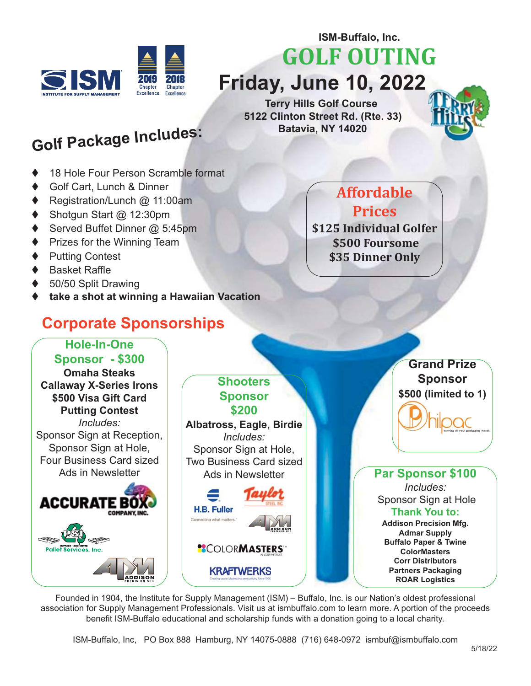

**ISM-Buffalo, Inc.** 

**GOLF OUTING** 

**Friday, June 10, 2022**

**Terry Hills Golf Course 5122 Clinton Street Rd. (Rte. 33) Batavia, NY 14020** 

## **Golf Package Includes:**

- 18 Hole Four Person Scramble format
- Golf Cart, Lunch & Dinner
- Registration/Lunch @ 11:00am
- Shotgun Start @ 12:30pm
- Served Buffet Dinner @ 5:45pm
- Prizes for the Winning Team
- **Putting Contest**
- **Basket Raffle**
- 50/50 Split Drawing
- t **take a shot at winning a Hawaiian Vacation**

## **Corporate Sponsorships**

## **Affordable Prices**

**\$125 Individual Golfer \$500 Foursome \$35 Dinner Only** 



Founded in 1904, the Institute for Supply Management (ISM) – Buffalo, Inc. is our Nation's oldest professional association for Supply Management Professionals. Visit us at ismbuffalo.com to learn more. A portion of the proceeds benefit ISM-Buffalo educational and scholarship funds with a donation going to a local charity.

ISM-Buffalo, Inc, PO Box 888 Hamburg, NY 14075-0888 (716) 648-0972 ismbuf@ismbuffalo.com